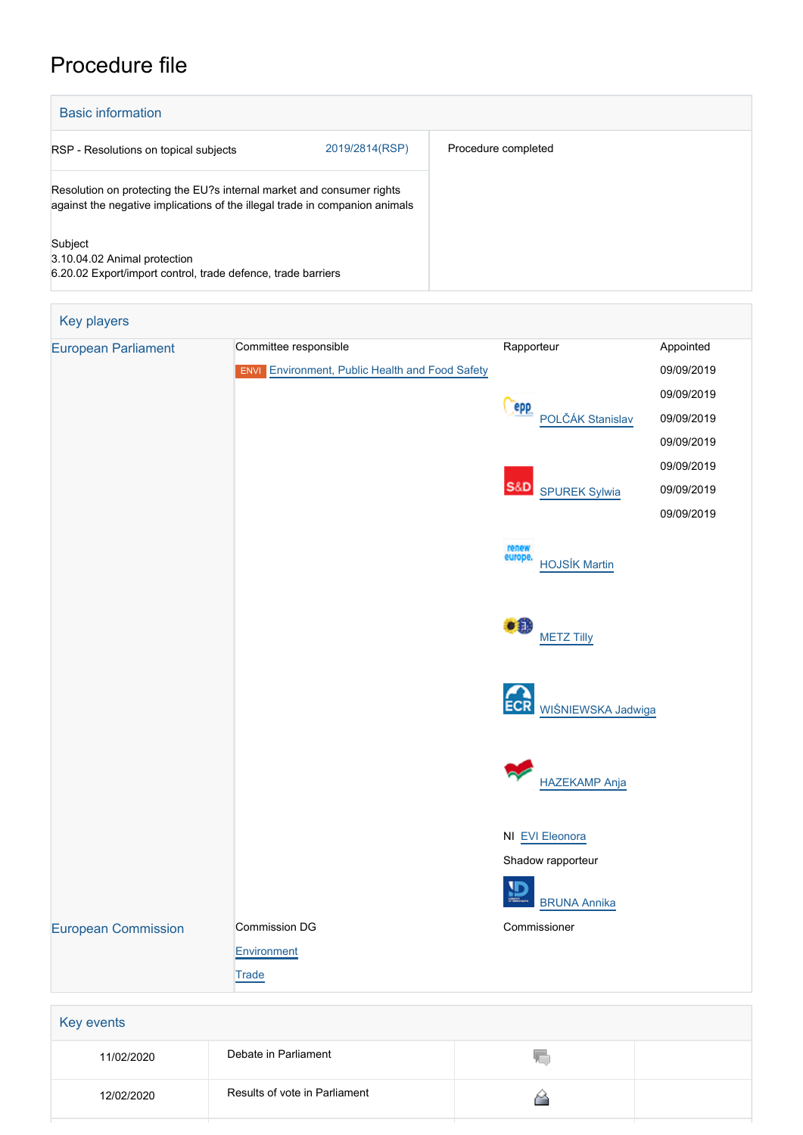# Procedure file

| <b>Basic information</b>                                                                                                                             |                |                     |  |
|------------------------------------------------------------------------------------------------------------------------------------------------------|----------------|---------------------|--|
| RSP - Resolutions on topical subjects                                                                                                                | 2019/2814(RSP) | Procedure completed |  |
| Resolution on protecting the EU?s internal market and consumer rights<br>against the negative implications of the illegal trade in companion animals |                |                     |  |
| Subject<br>3.10.04.02 Animal protection<br>6.20.02 Export/import control, trade defence, trade barriers                                              |                |                     |  |

| Key players                |                                                        |                                             |            |
|----------------------------|--------------------------------------------------------|---------------------------------------------|------------|
| <b>European Parliament</b> | Committee responsible                                  | Rapporteur                                  | Appointed  |
|                            | <b>ENVI</b> Environment, Public Health and Food Safety |                                             | 09/09/2019 |
|                            |                                                        | epp                                         | 09/09/2019 |
|                            |                                                        | POLČÁK Stanislav                            | 09/09/2019 |
|                            |                                                        |                                             | 09/09/2019 |
|                            |                                                        |                                             | 09/09/2019 |
|                            |                                                        | <b>S&amp;D</b><br><b>SPUREK Sylwia</b>      | 09/09/2019 |
|                            |                                                        |                                             | 09/09/2019 |
|                            |                                                        | renew<br>europe.<br><b>HOJSÍK Martin</b>    |            |
|                            |                                                        | $\bullet$ <sup>0</sup><br><b>METZ Tilly</b> |            |
|                            |                                                        | <b>ECR</b><br>WIŚNIEWSKA Jadwiga            |            |
|                            |                                                        | <b>HAZEKAMP Anja</b>                        |            |
|                            |                                                        | NI EVI Eleonora                             |            |
|                            |                                                        | Shadow rapporteur                           |            |
|                            |                                                        | <b>BRUNA Annika</b>                         |            |
| <b>European Commission</b> | Commission DG                                          | Commissioner                                |            |
|                            | Environment                                            |                                             |            |
|                            | <b>Trade</b>                                           |                                             |            |

| Key events |                               |  |  |
|------------|-------------------------------|--|--|
| 11/02/2020 | Debate in Parliament          |  |  |
| 12/02/2020 | Results of vote in Parliament |  |  |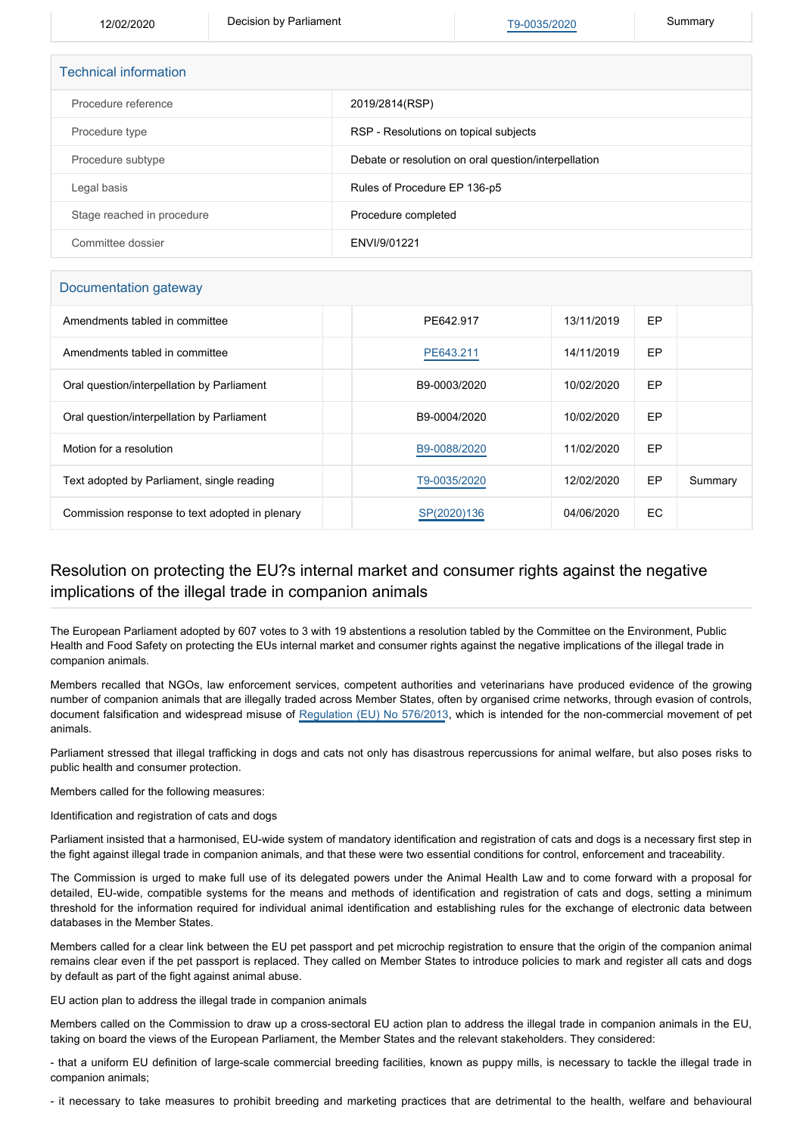12/02/2020 Decision by Parliament [T9-0035/2020](https://www.europarl.europa.eu/doceo/document/TA-9-2020-0035_EN.html) Summary

| <b>Technical information</b> |                                                      |  |  |
|------------------------------|------------------------------------------------------|--|--|
| Procedure reference          | 2019/2814(RSP)                                       |  |  |
| Procedure type               | RSP - Resolutions on topical subjects                |  |  |
| Procedure subtype            | Debate or resolution on oral question/interpellation |  |  |
| Legal basis                  | Rules of Procedure EP 136-p5                         |  |  |
| Stage reached in procedure   | Procedure completed                                  |  |  |
| Committee dossier            | ENVI/9/01221                                         |  |  |

### Documentation gateway

| Amendments tabled in committee                 | PE642.917    | 13/11/2019 | EP  |         |
|------------------------------------------------|--------------|------------|-----|---------|
| Amendments tabled in committee                 | PE643.211    | 14/11/2019 | EP  |         |
| Oral question/interpellation by Parliament     | B9-0003/2020 | 10/02/2020 | EP  |         |
| Oral question/interpellation by Parliament     | B9-0004/2020 | 10/02/2020 | EP  |         |
| Motion for a resolution                        | B9-0088/2020 | 11/02/2020 | EP  |         |
| Text adopted by Parliament, single reading     | T9-0035/2020 | 12/02/2020 | EP  | Summary |
| Commission response to text adopted in plenary | SP(2020)136  | 04/06/2020 | EC. |         |

## Resolution on protecting the EU?s internal market and consumer rights against the negative implications of the illegal trade in companion animals

The European Parliament adopted by 607 votes to 3 with 19 abstentions a resolution tabled by the Committee on the Environment, Public Health and Food Safety on protecting the EUs internal market and consumer rights against the negative implications of the illegal trade in companion animals.

Members recalled that NGOs, law enforcement services, competent authorities and veterinarians have produced evidence of the growing number of companion animals that are illegally traded across Member States, often by organised crime networks, through evasion of controls, document falsification and widespread misuse of [Regulation \(EU\) No 576/2013](https://oeil.secure.europarl.europa.eu/oeil/popups/ficheprocedure.do?reference=2012/0039(COD)&l=en), which is intended for the non-commercial movement of pet animals.

Parliament stressed that illegal trafficking in dogs and cats not only has disastrous repercussions for animal welfare, but also poses risks to public health and consumer protection.

#### Members called for the following measures:

#### Identification and registration of cats and dogs

Parliament insisted that a harmonised, EU-wide system of mandatory identification and registration of cats and dogs is a necessary first step in the fight against illegal trade in companion animals, and that these were two essential conditions for control, enforcement and traceability.

The Commission is urged to make full use of its delegated powers under the Animal Health Law and to come forward with a proposal for detailed, EU-wide, compatible systems for the means and methods of identification and registration of cats and dogs, setting a minimum threshold for the information required for individual animal identification and establishing rules for the exchange of electronic data between databases in the Member States.

Members called for a clear link between the EU pet passport and pet microchip registration to ensure that the origin of the companion animal remains clear even if the pet passport is replaced. They called on Member States to introduce policies to mark and register all cats and dogs by default as part of the fight against animal abuse.

EU action plan to address the illegal trade in companion animals

Members called on the Commission to draw up a cross-sectoral EU action plan to address the illegal trade in companion animals in the EU, taking on board the views of the European Parliament, the Member States and the relevant stakeholders. They considered:

- that a uniform EU definition of large-scale commercial breeding facilities, known as puppy mills, is necessary to tackle the illegal trade in companion animals;

- it necessary to take measures to prohibit breeding and marketing practices that are detrimental to the health, welfare and behavioural